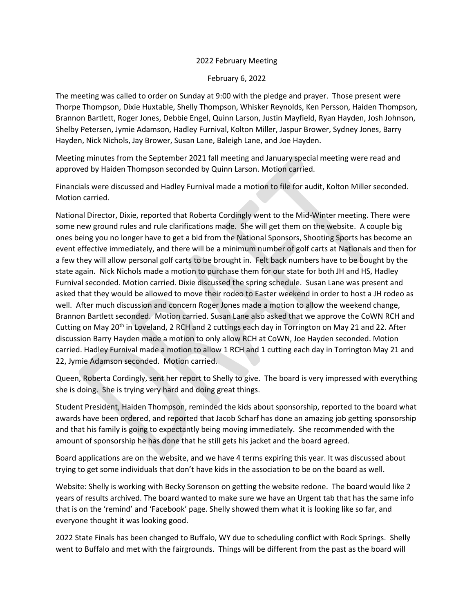## 2022 February Meeting

## February 6, 2022

The meeting was called to order on Sunday at 9:00 with the pledge and prayer. Those present were Thorpe Thompson, Dixie Huxtable, Shelly Thompson, Whisker Reynolds, Ken Persson, Haiden Thompson, Brannon Bartlett, Roger Jones, Debbie Engel, Quinn Larson, Justin Mayfield, Ryan Hayden, Josh Johnson, Shelby Petersen, Jymie Adamson, Hadley Furnival, Kolton Miller, Jaspur Brower, Sydney Jones, Barry Hayden, Nick Nichols, Jay Brower, Susan Lane, Baleigh Lane, and Joe Hayden.

Meeting minutes from the September 2021 fall meeting and January special meeting were read and approved by Haiden Thompson seconded by Quinn Larson. Motion carried.

Financials were discussed and Hadley Furnival made a motion to file for audit, Kolton Miller seconded. Motion carried.

National Director, Dixie, reported that Roberta Cordingly went to the Mid-Winter meeting. There were some new ground rules and rule clarifications made. She will get them on the website. A couple big ones being you no longer have to get a bid from the National Sponsors, Shooting Sports has become an event effective immediately, and there will be a minimum number of golf carts at Nationals and then for a few they will allow personal golf carts to be brought in. Felt back numbers have to be bought by the state again. Nick Nichols made a motion to purchase them for our state for both JH and HS, Hadley Furnival seconded. Motion carried. Dixie discussed the spring schedule. Susan Lane was present and asked that they would be allowed to move their rodeo to Easter weekend in order to host a JH rodeo as well. After much discussion and concern Roger Jones made a motion to allow the weekend change, Brannon Bartlett seconded. Motion carried. Susan Lane also asked that we approve the CoWN RCH and Cutting on May 20<sup>th</sup> in Loveland, 2 RCH and 2 cuttings each day in Torrington on May 21 and 22. After discussion Barry Hayden made a motion to only allow RCH at CoWN, Joe Hayden seconded. Motion carried. Hadley Furnival made a motion to allow 1 RCH and 1 cutting each day in Torrington May 21 and 22, Jymie Adamson seconded. Motion carried.

Queen, Roberta Cordingly, sent her report to Shelly to give. The board is very impressed with everything she is doing. She is trying very hard and doing great things.

Student President, Haiden Thompson, reminded the kids about sponsorship, reported to the board what awards have been ordered, and reported that Jacob Scharf has done an amazing job getting sponsorship and that his family is going to expectantly being moving immediately. She recommended with the amount of sponsorship he has done that he still gets his jacket and the board agreed.

Board applications are on the website, and we have 4 terms expiring this year. It was discussed about trying to get some individuals that don't have kids in the association to be on the board as well.

Website: Shelly is working with Becky Sorenson on getting the website redone. The board would like 2 years of results archived. The board wanted to make sure we have an Urgent tab that has the same info that is on the 'remind' and 'Facebook' page. Shelly showed them what it is looking like so far, and everyone thought it was looking good.

2022 State Finals has been changed to Buffalo, WY due to scheduling conflict with Rock Springs. Shelly went to Buffalo and met with the fairgrounds. Things will be different from the past as the board will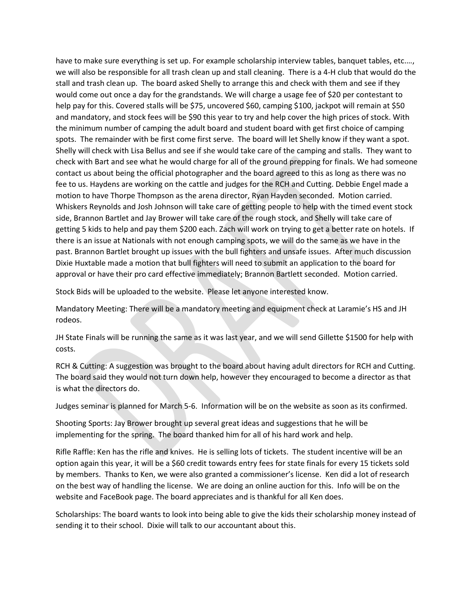have to make sure everything is set up. For example scholarship interview tables, banquet tables, etc.…, we will also be responsible for all trash clean up and stall cleaning. There is a 4-H club that would do the stall and trash clean up. The board asked Shelly to arrange this and check with them and see if they would come out once a day for the grandstands. We will charge a usage fee of \$20 per contestant to help pay for this. Covered stalls will be \$75, uncovered \$60, camping \$100, jackpot will remain at \$50 and mandatory, and stock fees will be \$90 this year to try and help cover the high prices of stock. With the minimum number of camping the adult board and student board with get first choice of camping spots. The remainder with be first come first serve. The board will let Shelly know if they want a spot. Shelly will check with Lisa Bellus and see if she would take care of the camping and stalls. They want to check with Bart and see what he would charge for all of the ground prepping for finals. We had someone contact us about being the official photographer and the board agreed to this as long as there was no fee to us. Haydens are working on the cattle and judges for the RCH and Cutting. Debbie Engel made a motion to have Thorpe Thompson as the arena director, Ryan Hayden seconded. Motion carried. Whiskers Reynolds and Josh Johnson will take care of getting people to help with the timed event stock side, Brannon Bartlet and Jay Brower will take care of the rough stock, and Shelly will take care of getting 5 kids to help and pay them \$200 each. Zach will work on trying to get a better rate on hotels. If there is an issue at Nationals with not enough camping spots, we will do the same as we have in the past. Brannon Bartlet brought up issues with the bull fighters and unsafe issues. After much discussion Dixie Huxtable made a motion that bull fighters will need to submit an application to the board for approval or have their pro card effective immediately; Brannon Bartlett seconded. Motion carried.

Stock Bids will be uploaded to the website. Please let anyone interested know.

Mandatory Meeting: There will be a mandatory meeting and equipment check at Laramie's HS and JH rodeos.

JH State Finals will be running the same as it was last year, and we will send Gillette \$1500 for help with costs.

RCH & Cutting: A suggestion was brought to the board about having adult directors for RCH and Cutting. The board said they would not turn down help, however they encouraged to become a director as that is what the directors do.

Judges seminar is planned for March 5-6. Information will be on the website as soon as its confirmed.

Shooting Sports: Jay Brower brought up several great ideas and suggestions that he will be implementing for the spring. The board thanked him for all of his hard work and help.

Rifle Raffle: Ken has the rifle and knives. He is selling lots of tickets. The student incentive will be an option again this year, it will be a \$60 credit towards entry fees for state finals for every 15 tickets sold by members. Thanks to Ken, we were also granted a commissioner's license. Ken did a lot of research on the best way of handling the license. We are doing an online auction for this. Info will be on the website and FaceBook page. The board appreciates and is thankful for all Ken does.

Scholarships: The board wants to look into being able to give the kids their scholarship money instead of sending it to their school. Dixie will talk to our accountant about this.